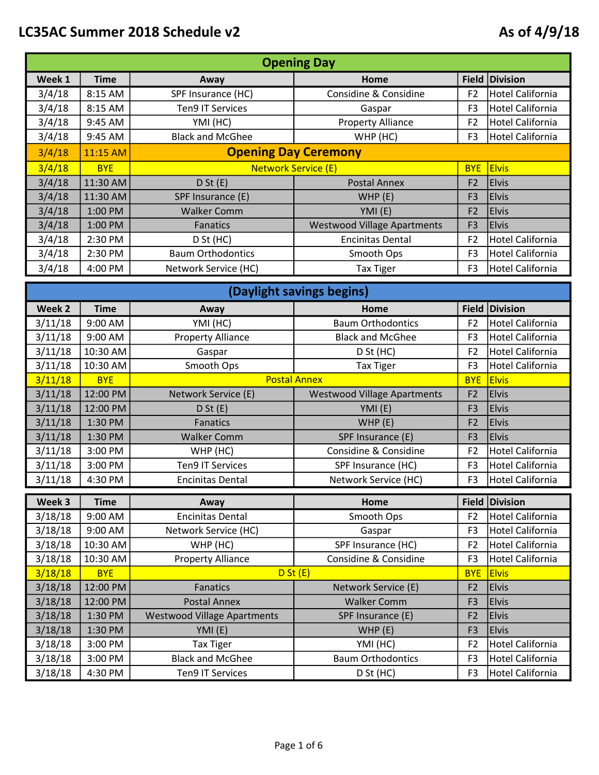|        | <b>Opening Day</b> |                             |                                    |                |                         |  |
|--------|--------------------|-----------------------------|------------------------------------|----------------|-------------------------|--|
| Week 1 | <b>Time</b>        | Away                        | <b>Home</b>                        |                | <b>Field Division</b>   |  |
| 3/4/18 | 8:15 AM            | SPF Insurance (HC)          | Considine & Considine              | F <sub>2</sub> | <b>Hotel California</b> |  |
| 3/4/18 | 8:15 AM            | <b>Ten9 IT Services</b>     | Gaspar                             | F <sub>3</sub> | Hotel California        |  |
| 3/4/18 | 9:45 AM            | YMI (HC)                    | <b>Property Alliance</b>           | F <sub>2</sub> | <b>Hotel California</b> |  |
| 3/4/18 | 9:45 AM            | <b>Black and McGhee</b>     | WHP (HC)                           | F <sub>3</sub> | Hotel California        |  |
| 3/4/18 | 11:15 AM           | <b>Opening Day Ceremony</b> |                                    |                |                         |  |
| 3/4/18 | <b>BYE</b>         | <b>Network Service (E)</b>  |                                    | <b>BYE</b>     | <b>Elvis</b>            |  |
| 3/4/18 | 11:30 AM           | D St(E)                     | <b>Postal Annex</b>                | F <sub>2</sub> | <b>Elvis</b>            |  |
| 3/4/18 | 11:30 AM           | SPF Insurance (E)           | WHP(E)                             | F <sub>3</sub> | <b>Elvis</b>            |  |
| 3/4/18 | 1:00 PM            | <b>Walker Comm</b>          | YMI(E)                             | F <sub>2</sub> | <b>Elvis</b>            |  |
| 3/4/18 | 1:00 PM            | <b>Fanatics</b>             | <b>Westwood Village Apartments</b> | F <sub>3</sub> | <b>Elvis</b>            |  |
| 3/4/18 | 2:30 PM            | D St (HC)                   | <b>Encinitas Dental</b>            | F <sub>2</sub> | <b>Hotel California</b> |  |
| 3/4/18 | 2:30 PM            | <b>Baum Orthodontics</b>    | Smooth Ops                         | F <sub>3</sub> | Hotel California        |  |
| 3/4/18 | 4:00 PM            | Network Service (HC)        | <b>Tax Tiger</b>                   | F <sub>3</sub> | Hotel California        |  |

|                    |                        |                                    | (Daylight savings begins)          |                                |                                     |
|--------------------|------------------------|------------------------------------|------------------------------------|--------------------------------|-------------------------------------|
| Week <sub>2</sub>  | <b>Time</b>            | Away                               | Home                               |                                | Field Division                      |
| 3/11/18            | 9:00 AM                | YMI (HC)                           | <b>Baum Orthodontics</b>           | F <sub>2</sub>                 | <b>Hotel California</b>             |
| 3/11/18            | 9:00 AM                | <b>Property Alliance</b>           | <b>Black and McGhee</b>            | F <sub>3</sub>                 | <b>Hotel California</b>             |
| 3/11/18            | 10:30 AM               | Gaspar                             | D St (HC)                          | F <sub>2</sub>                 | <b>Hotel California</b>             |
| 3/11/18            | 10:30 AM               | Smooth Ops                         | <b>Tax Tiger</b>                   | F <sub>3</sub>                 | <b>Hotel California</b>             |
| 3/11/18            | <b>BYE</b>             | <b>Postal Annex</b>                |                                    | <b>BYE</b>                     | <b>Elvis</b>                        |
| 3/11/18            | 12:00 PM               | Network Service (E)                | <b>Westwood Village Apartments</b> | F <sub>2</sub>                 | <b>Elvis</b>                        |
| 3/11/18            | 12:00 PM               | D St(E)                            | YMI (E)                            | F <sub>3</sub>                 | <b>Elvis</b>                        |
| 3/11/18            | 1:30 PM                | <b>Fanatics</b>                    | WHP(E)                             | F <sub>2</sub>                 | <b>Elvis</b>                        |
| 3/11/18            | 1:30 PM                | <b>Walker Comm</b>                 | SPF Insurance (E)                  | F <sub>3</sub>                 | <b>Elvis</b>                        |
| 3/11/18            | 3:00 PM                | WHP (HC)                           | Considine & Considine              | F <sub>2</sub>                 | <b>Hotel California</b>             |
| 3/11/18            | 3:00 PM                | <b>Ten9 IT Services</b>            | SPF Insurance (HC)                 | F <sub>3</sub>                 | <b>Hotel California</b>             |
| 3/11/18            | 4:30 PM                | <b>Encinitas Dental</b>            | Network Service (HC)               | F <sub>3</sub>                 | <b>Hotel California</b>             |
|                    |                        |                                    |                                    |                                |                                     |
|                    |                        |                                    |                                    |                                |                                     |
| Week 3             | <b>Time</b><br>9:00 AM | Away<br><b>Encinitas Dental</b>    | Home<br>Smooth Ops                 | <b>Field</b><br>F <sub>2</sub> | Division<br><b>Hotel California</b> |
| 3/18/18<br>3/18/18 | 9:00 AM                | Network Service (HC)               | Gaspar                             | F <sub>3</sub>                 | <b>Hotel California</b>             |
| 3/18/18            | 10:30 AM               | WHP (HC)                           | SPF Insurance (HC)                 | F <sub>2</sub>                 | <b>Hotel California</b>             |
| 3/18/18            | 10:30 AM               | <b>Property Alliance</b>           | Considine & Considine              | F <sub>3</sub>                 | <b>Hotel California</b>             |
| 3/18/18            | <b>BYE</b>             | D St(E)                            |                                    | <b>BYE</b>                     | <b>Elvis</b>                        |
| 3/18/18            | 12:00 PM               | <b>Fanatics</b>                    | Network Service (E)                | F <sub>2</sub>                 | <b>Elvis</b>                        |
| 3/18/18            | 12:00 PM               | <b>Postal Annex</b>                | <b>Walker Comm</b>                 | F <sub>3</sub>                 | <b>Elvis</b>                        |
| 3/18/18            | 1:30 PM                | <b>Westwood Village Apartments</b> | SPF Insurance (E)                  | F <sub>2</sub>                 | <b>Elvis</b>                        |
| 3/18/18            | 1:30 PM                | YMI (E)                            | WHP(E)                             | F <sub>3</sub>                 | <b>Elvis</b>                        |
| 3/18/18            | 3:00 PM                | <b>Tax Tiger</b>                   | YMI (HC)                           | F <sub>2</sub>                 | <b>Hotel California</b>             |
| 3/18/18            | 3:00 PM                | <b>Black and McGhee</b>            | <b>Baum Orthodontics</b>           | F <sub>3</sub>                 | <b>Hotel California</b>             |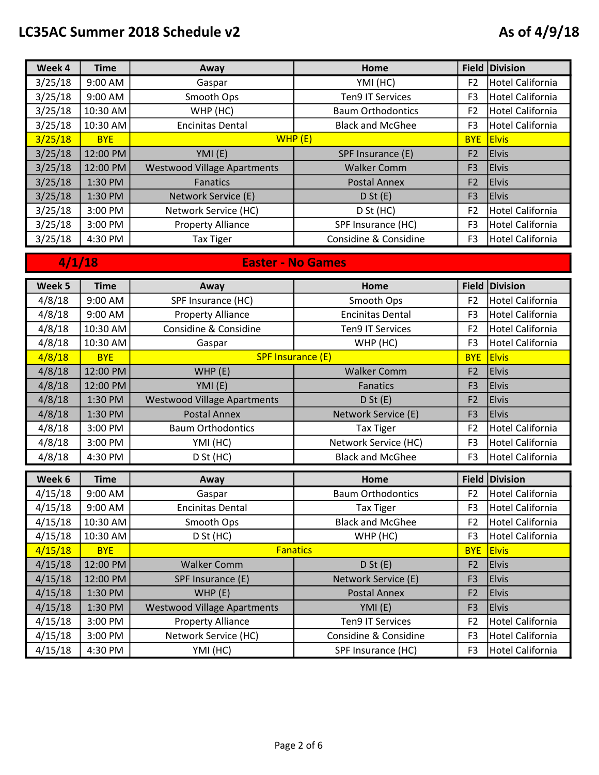| Week 4  | <b>Time</b> | Away                               | Home                     |                | Field Division          |
|---------|-------------|------------------------------------|--------------------------|----------------|-------------------------|
| 3/25/18 | 9:00 AM     | Gaspar                             | YMI (HC)                 | F <sub>2</sub> | <b>Hotel California</b> |
| 3/25/18 | 9:00 AM     | Smooth Ops                         | <b>Ten9 IT Services</b>  | F3             | Hotel California        |
| 3/25/18 | 10:30 AM    | WHP (HC)                           | <b>Baum Orthodontics</b> | F <sub>2</sub> | <b>Hotel California</b> |
| 3/25/18 | $10:30$ AM  | <b>Encinitas Dental</b>            | <b>Black and McGhee</b>  | F3             | Hotel California        |
| 3/25/18 | <b>BYE</b>  | WHP(E)                             |                          | <b>BYE</b>     | <b>Elvis</b>            |
| 3/25/18 | 12:00 PM    | YMI(E)                             | SPF Insurance (E)        | F <sub>2</sub> | <b>Elvis</b>            |
| 3/25/18 | 12:00 PM    | <b>Westwood Village Apartments</b> | <b>Walker Comm</b>       | F <sub>3</sub> | <b>Elvis</b>            |
| 3/25/18 | $1:30$ PM   | Fanatics                           | <b>Postal Annex</b>      | F <sub>2</sub> | <b>Elvis</b>            |
| 3/25/18 | 1:30 PM     | Network Service (E)                | D St(E)                  | F <sub>3</sub> | <b>Elvis</b>            |
| 3/25/18 | 3:00 PM     | Network Service (HC)               | D St (HC)                | F <sub>2</sub> | <b>Hotel California</b> |
| 3/25/18 | 3:00 PM     | <b>Property Alliance</b>           | SPF Insurance (HC)       | F <sub>3</sub> | <b>Hotel California</b> |
| 3/25/18 | 4:30 PM     | Tax Tiger                          | Considine & Considine    | F <sub>3</sub> | Hotel California        |

## 4/1/18 Easter - No Games

| Week 5             | <b>Time</b>        | Away                                             | Home                                       | Field                            | <b>Division</b>              |
|--------------------|--------------------|--------------------------------------------------|--------------------------------------------|----------------------------------|------------------------------|
| 4/8/18             | 9:00 AM            | SPF Insurance (HC)                               | Smooth Ops                                 | F <sub>2</sub>                   | <b>Hotel California</b>      |
| 4/8/18             | 9:00 AM            | <b>Property Alliance</b>                         | <b>Encinitas Dental</b>                    | F <sub>3</sub>                   | <b>Hotel California</b>      |
| 4/8/18             | 10:30 AM           | Considine & Considine                            | <b>Ten9 IT Services</b>                    | F <sub>2</sub>                   | <b>Hotel California</b>      |
| 4/8/18             | 10:30 AM           | Gaspar                                           | WHP (HC)                                   | F <sub>3</sub>                   | <b>Hotel California</b>      |
| 4/8/18             | <b>BYE</b>         | <b>SPF Insurance (E)</b>                         |                                            | <b>BYE</b>                       | <b>Elvis</b>                 |
| 4/8/18             | 12:00 PM           | WHP(E)                                           | <b>Walker Comm</b>                         | F <sub>2</sub>                   | <b>Elvis</b>                 |
| 4/8/18             | 12:00 PM           | YMI (E)                                          | Fanatics                                   | F <sub>3</sub>                   | <b>Elvis</b>                 |
| 4/8/18             | 1:30 PM            | <b>Westwood Village Apartments</b>               | D St(E)                                    | F <sub>2</sub>                   | <b>Elvis</b>                 |
| 4/8/18             | 1:30 PM            | <b>Postal Annex</b>                              | Network Service (E)                        | F <sub>3</sub>                   | <b>Elvis</b>                 |
| 4/8/18             | 3:00 PM            | <b>Baum Orthodontics</b>                         | <b>Tax Tiger</b>                           | F <sub>2</sub>                   | <b>Hotel California</b>      |
| 4/8/18             | 3:00 PM            | YMI (HC)                                         | Network Service (HC)                       | F <sub>3</sub>                   | <b>Hotel California</b>      |
| 4/8/18             | 4:30 PM            | D St (HC)                                        | <b>Black and McGhee</b>                    | F <sub>3</sub>                   | <b>Hotel California</b>      |
|                    |                    |                                                  |                                            |                                  |                              |
|                    |                    |                                                  |                                            |                                  |                              |
| Week 6             | <b>Time</b>        | Away                                             | Home                                       | Field                            | <b>Division</b>              |
| 4/15/18            | 9:00 AM            | Gaspar                                           | <b>Baum Orthodontics</b>                   | F <sub>2</sub>                   | <b>Hotel California</b>      |
| 4/15/18            | 9:00 AM            | <b>Encinitas Dental</b>                          | <b>Tax Tiger</b>                           | F <sub>3</sub>                   | <b>Hotel California</b>      |
| 4/15/18            | 10:30 AM           | Smooth Ops                                       | <b>Black and McGhee</b>                    | F <sub>2</sub>                   | <b>Hotel California</b>      |
| 4/15/18            | 10:30 AM           | D St (HC)                                        | WHP (HC)                                   | F <sub>3</sub>                   | <b>Hotel California</b>      |
| 4/15/18            | <b>BYE</b>         | <b>Fanatics</b>                                  |                                            | <b>BYE</b>                       | <b>Elvis</b>                 |
| 4/15/18            | 12:00 PM           | <b>Walker Comm</b>                               | D St(E)                                    | F <sub>2</sub>                   | <b>Elvis</b>                 |
| 4/15/18            | 12:00 PM           | SPF Insurance (E)                                | Network Service (E)<br><b>Postal Annex</b> | F <sub>3</sub><br>F <sub>2</sub> | <b>Elvis</b><br><b>Elvis</b> |
| 4/15/18            | 1:30 PM<br>1:30 PM | WHP (E)                                          |                                            | F <sub>3</sub>                   | <b>Elvis</b>                 |
| 4/15/18            | 3:00 PM            | <b>Westwood Village Apartments</b>               | YMI (E)<br><b>Ten9 IT Services</b>         | F <sub>2</sub>                   | <b>Hotel California</b>      |
| 4/15/18<br>4/15/18 | 3:00 PM            | <b>Property Alliance</b><br>Network Service (HC) | Considine & Considine                      | F <sub>3</sub>                   | <b>Hotel California</b>      |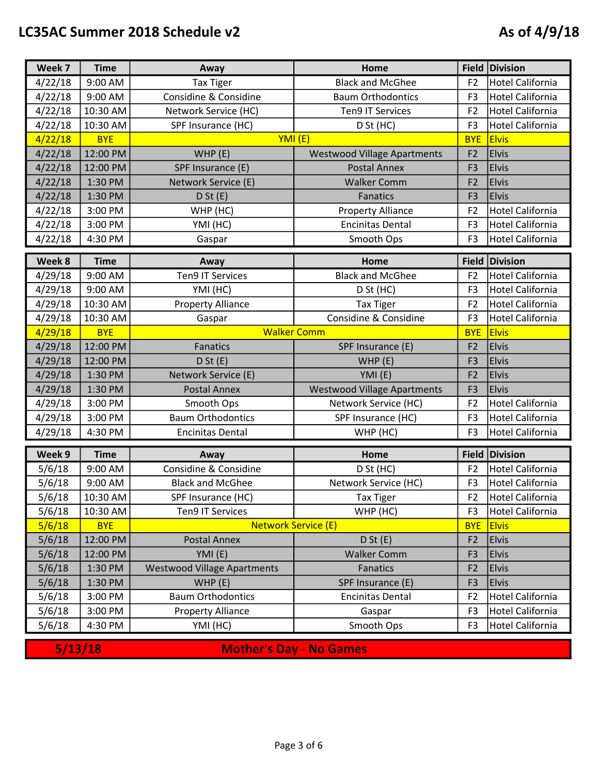| Week 7  | <b>Time</b> | Away                               | Home                               |                | Field Division          |
|---------|-------------|------------------------------------|------------------------------------|----------------|-------------------------|
| 4/22/18 | 9:00 AM     | <b>Tax Tiger</b>                   | <b>Black and McGhee</b>            | F <sub>2</sub> | <b>Hotel California</b> |
| 4/22/18 | 9:00 AM     | Considine & Considine              | <b>Baum Orthodontics</b>           | F <sub>3</sub> | Hotel California        |
| 4/22/18 | 10:30 AM    | Network Service (HC)               | <b>Ten9 IT Services</b>            | F <sub>2</sub> | <b>Hotel California</b> |
| 4/22/18 | 10:30 AM    | SPF Insurance (HC)                 | D St (HC)                          | F <sub>3</sub> | Hotel California        |
| 4/22/18 | <b>BYE</b>  | YMI (E)                            |                                    | <b>BYE</b>     | <b>Elvis</b>            |
| 4/22/18 | 12:00 PM    | WHP(E)                             | <b>Westwood Village Apartments</b> | F <sub>2</sub> | <b>Elvis</b>            |
| 4/22/18 | 12:00 PM    | SPF Insurance (E)                  | <b>Postal Annex</b>                | F <sub>3</sub> | <b>Elvis</b>            |
| 4/22/18 | 1:30 PM     | Network Service (E)                | <b>Walker Comm</b>                 | F <sub>2</sub> | <b>Elvis</b>            |
| 4/22/18 | 1:30 PM     | D St(E)                            | <b>Fanatics</b>                    | F <sub>3</sub> | <b>Elvis</b>            |
| 4/22/18 | 3:00 PM     | WHP (HC)                           | <b>Property Alliance</b>           | F <sub>2</sub> | Hotel California        |
| 4/22/18 | 3:00 PM     | YMI (HC)                           | <b>Encinitas Dental</b>            | F <sub>3</sub> | Hotel California        |
| 4/22/18 | 4:30 PM     | Gaspar                             | Smooth Ops                         | F <sub>3</sub> | Hotel California        |
| Week 8  | <b>Time</b> | Away                               | Home                               | <b>Field</b>   | Division                |
| 4/29/18 | 9:00 AM     | <b>Ten9 IT Services</b>            | <b>Black and McGhee</b>            | F <sub>2</sub> | <b>Hotel California</b> |
| 4/29/18 | 9:00 AM     | YMI (HC)                           | D St (HC)                          | F <sub>3</sub> | Hotel California        |
| 4/29/18 | 10:30 AM    | <b>Property Alliance</b>           | <b>Tax Tiger</b>                   | F <sub>2</sub> | Hotel California        |
| 4/29/18 | 10:30 AM    | Gaspar                             | Considine & Considine              | F <sub>3</sub> | <b>Hotel California</b> |
| 4/29/18 | <b>BYE</b>  | <b>Walker Comm</b>                 |                                    | <b>BYE</b>     | <b>Elvis</b>            |
| 4/29/18 | 12:00 PM    | Fanatics                           | SPF Insurance (E)                  | F <sub>2</sub> | <b>Elvis</b>            |
| 4/29/18 | 12:00 PM    | D St(E)                            | WHP (E)                            | F <sub>3</sub> | <b>Elvis</b>            |
| 4/29/18 | 1:30 PM     | Network Service (E)                | YMI(E)                             | F <sub>2</sub> | <b>Elvis</b>            |
| 4/29/18 | 1:30 PM     | <b>Postal Annex</b>                | <b>Westwood Village Apartments</b> | F <sub>3</sub> | <b>Elvis</b>            |
| 4/29/18 | 3:00 PM     | Smooth Ops                         | Network Service (HC)               | F <sub>2</sub> | Hotel California        |
| 4/29/18 | 3:00 PM     | <b>Baum Orthodontics</b>           | SPF Insurance (HC)                 | F <sub>3</sub> | <b>Hotel California</b> |
| 4/29/18 | 4:30 PM     | <b>Encinitas Dental</b>            | WHP (HC)                           | F <sub>3</sub> | <b>Hotel California</b> |
| Week 9  | <b>Time</b> | Away                               | Home                               |                | Field Division          |
| 5/6/18  | 9:00 AM     | Considine & Considine              | D St (HC)                          | F <sub>2</sub> | Hotel California        |
| 5/6/18  | 9:00 AM     | <b>Black and McGhee</b>            | Network Service (HC)               | F <sub>3</sub> | Hotel California        |
| 5/6/18  | 10:30 AM    | SPF Insurance (HC)                 | <b>Tax Tiger</b>                   | F <sub>2</sub> | Hotel California        |
| 5/6/18  | 10:30 AM    | <b>Ten9 IT Services</b>            | WHP (HC)                           | F <sub>3</sub> | <b>Hotel California</b> |
| 5/6/18  | <b>BYE</b>  | <b>Network Service (E)</b>         |                                    | <b>BYE</b>     | <b>Elvis</b>            |
| 5/6/18  | 12:00 PM    | <b>Postal Annex</b>                | D St(E)                            | F <sub>2</sub> | <b>Elvis</b>            |
| 5/6/18  | 12:00 PM    | YMI (E)                            | <b>Walker Comm</b>                 | F <sub>3</sub> | <b>Elvis</b>            |
| 5/6/18  | 1:30 PM     | <b>Westwood Village Apartments</b> | Fanatics                           | F <sub>2</sub> | <b>Elvis</b>            |
| 5/6/18  | 1:30 PM     | WHP(E)                             | SPF Insurance (E)                  | F <sub>3</sub> | <b>Elvis</b>            |
| 5/6/18  | 3:00 PM     | <b>Baum Orthodontics</b>           | <b>Encinitas Dental</b>            | F <sub>2</sub> | <b>Hotel California</b> |
| 5/6/18  | 3:00 PM     | <b>Property Alliance</b>           | Gaspar                             | F <sub>3</sub> | <b>Hotel California</b> |
| 5/6/18  | 4:30 PM     | YMI (HC)                           | Smooth Ops                         | F <sub>3</sub> | <b>Hotel California</b> |
| 5/13/18 |             | <b>Mother's Day - No Games</b>     |                                    |                |                         |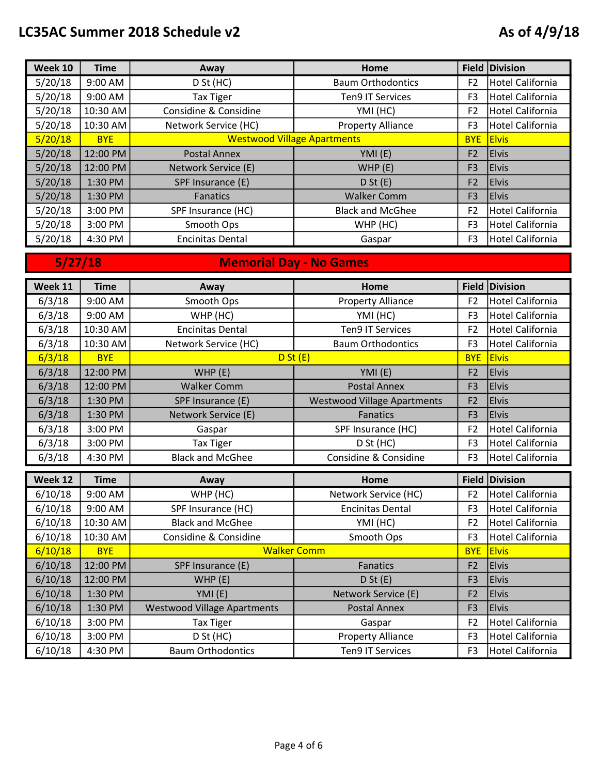| <b>Week 10</b> | <b>Time</b> | Away                               | Home                     |                | Field Division          |
|----------------|-------------|------------------------------------|--------------------------|----------------|-------------------------|
| 5/20/18        | 9:00 AM     | D St (HC)                          | <b>Baum Orthodontics</b> | F <sub>2</sub> | Hotel California        |
| 5/20/18        | 9:00 AM     | <b>Tax Tiger</b>                   | <b>Ten9 IT Services</b>  | F <sub>3</sub> | <b>Hotel California</b> |
| 5/20/18        | 10:30 AM    | Considine & Considine              | YMI (HC)                 | F <sub>2</sub> | <b>Hotel California</b> |
| 5/20/18        | 10:30 AM    | Network Service (HC)               | <b>Property Alliance</b> | F3             | Hotel California        |
| 5/20/18        | <b>BYE</b>  | <b>Westwood Village Apartments</b> |                          | <b>BYE</b>     | <b>Elvis</b>            |
| 5/20/18        | 12:00 PM    | <b>Postal Annex</b>                | YMI (E)                  | F <sub>2</sub> | <b>Elvis</b>            |
| 5/20/18        | 12:00 PM    | Network Service (E)                | WHP(E)                   | F <sub>3</sub> | <b>Elvis</b>            |
| 5/20/18        | 1:30 PM     | SPF Insurance (E)                  | D St(E)                  | F <sub>2</sub> | <b>Elvis</b>            |
| 5/20/18        | 1:30 PM     | Fanatics                           | <b>Walker Comm</b>       | F <sub>3</sub> | <b>Elvis</b>            |
| 5/20/18        | 3:00 PM     | SPF Insurance (HC)                 | <b>Black and McGhee</b>  | F <sub>2</sub> | Hotel California        |
| 5/20/18        | 3:00 PM     | Smooth Ops                         | WHP (HC)                 | F <sub>3</sub> | <b>Hotel California</b> |
| 5/20/18        | 4:30 PM     | <b>Encinitas Dental</b>            | Gaspar                   | F3             | Hotel California        |
|                |             |                                    |                          |                |                         |

5/27/18 Memorial Day - No Games

| Week 11            | <b>Time</b>         | Away                               | Home                                       |                              | Field Division               |
|--------------------|---------------------|------------------------------------|--------------------------------------------|------------------------------|------------------------------|
| 6/3/18             | 9:00 AM             | Smooth Ops                         | <b>Property Alliance</b>                   | F <sub>2</sub>               | <b>Hotel California</b>      |
| 6/3/18             | 9:00 AM             | WHP (HC)                           | YMI (HC)                                   | F <sub>3</sub>               | <b>Hotel California</b>      |
| 6/3/18             | 10:30 AM            | <b>Encinitas Dental</b>            | <b>Ten9 IT Services</b>                    | F <sub>2</sub>               | <b>Hotel California</b>      |
| 6/3/18             | 10:30 AM            | Network Service (HC)               | <b>Baum Orthodontics</b>                   | F <sub>3</sub>               | <b>Hotel California</b>      |
| 6/3/18             | <b>BYE</b>          | D St(E)                            |                                            | <b>BYE</b>                   | <b>Elvis</b>                 |
| 6/3/18             | 12:00 PM            | WHP (E)                            | YMI (E)                                    | F <sub>2</sub>               | <b>Elvis</b>                 |
| 6/3/18             | 12:00 PM            | <b>Walker Comm</b>                 | <b>Postal Annex</b>                        | F <sub>3</sub>               | <b>Elvis</b>                 |
| 6/3/18             | 1:30 PM             | SPF Insurance (E)                  | <b>Westwood Village Apartments</b>         | F <sub>2</sub>               | <b>Elvis</b>                 |
| 6/3/18             | 1:30 PM             | Network Service (E)                | Fanatics                                   | F <sub>3</sub>               | <b>Elvis</b>                 |
| 6/3/18             | 3:00 PM             | Gaspar                             | SPF Insurance (HC)                         | F <sub>2</sub>               | <b>Hotel California</b>      |
| 6/3/18             | 3:00 PM             | <b>Tax Tiger</b>                   | D St (HC)                                  | F <sub>3</sub>               | <b>Hotel California</b>      |
| 6/3/18             | 4:30 PM             | <b>Black and McGhee</b>            | Considine & Considine                      | F <sub>3</sub>               | <b>Hotel California</b>      |
|                    |                     |                                    |                                            |                              |                              |
|                    |                     |                                    |                                            |                              |                              |
| Week 12            | <b>Time</b>         | Away                               | Home                                       |                              | Field Division               |
| 6/10/18            | 9:00 AM             | WHP (HC)                           | Network Service (HC)                       | F <sub>2</sub>               | <b>Hotel California</b>      |
| 6/10/18            | 9:00 AM             | SPF Insurance (HC)                 | <b>Encinitas Dental</b>                    | F <sub>3</sub>               | <b>Hotel California</b>      |
| 6/10/18            | 10:30 AM            | <b>Black and McGhee</b>            | YMI (HC)                                   | F <sub>2</sub>               | <b>Hotel California</b>      |
| 6/10/18            | 10:30 AM            | Considine & Considine              | Smooth Ops                                 | F <sub>3</sub>               | <b>Hotel California</b>      |
| 6/10/18            | <b>BYE</b>          | <b>Walker Comm</b>                 | <b>Fanatics</b>                            | <b>BYE</b><br>F <sub>2</sub> | <b>Elvis</b>                 |
| 6/10/18            | 12:00 PM            | SPF Insurance (E)                  |                                            | F <sub>3</sub>               | <b>Elvis</b><br><b>Elvis</b> |
| 6/10/18            | 12:00 PM<br>1:30 PM | WHP (E)                            | D St(E)                                    | F <sub>2</sub>               | <b>Elvis</b>                 |
| 6/10/18            | 1:30 PM             | YMI (E)                            | Network Service (E)<br><b>Postal Annex</b> | F <sub>3</sub>               | <b>Elvis</b>                 |
| 6/10/18<br>6/10/18 | 3:00 PM             | <b>Westwood Village Apartments</b> | Gaspar                                     | F <sub>2</sub>               | <b>Hotel California</b>      |
| 6/10/18            | 3:00 PM             | <b>Tax Tiger</b><br>D St (HC)      | <b>Property Alliance</b>                   | F <sub>3</sub>               | <b>Hotel California</b>      |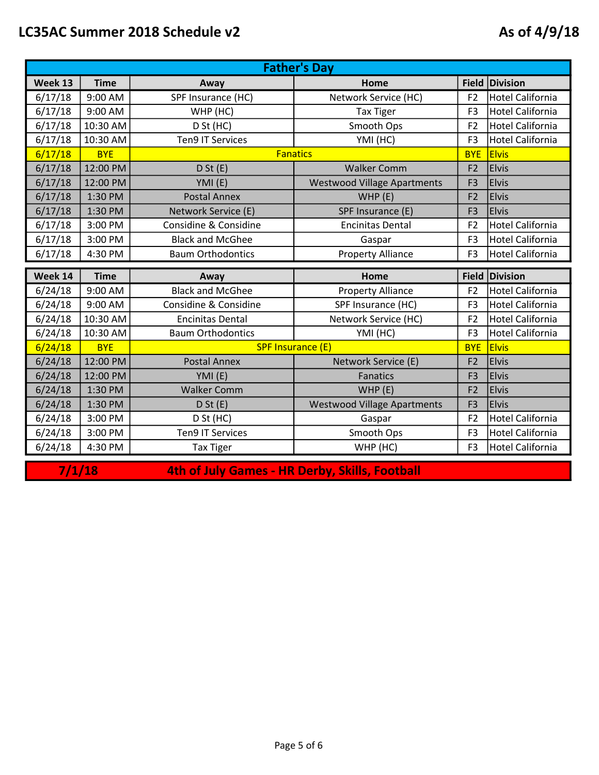|                    | <b>Father's Day</b>    |                                                 |                                    |                              |                                         |  |
|--------------------|------------------------|-------------------------------------------------|------------------------------------|------------------------------|-----------------------------------------|--|
| Week 13            | <b>Time</b>            | Away                                            | Home                               |                              | Field Division                          |  |
| 6/17/18            | 9:00 AM                | SPF Insurance (HC)                              | Network Service (HC)               | F <sub>2</sub>               | <b>Hotel California</b>                 |  |
| 6/17/18            | 9:00 AM                | WHP (HC)                                        | <b>Tax Tiger</b>                   | F <sub>3</sub>               | <b>Hotel California</b>                 |  |
| 6/17/18            | 10:30 AM               | D St (HC)                                       | Smooth Ops                         | F <sub>2</sub>               | <b>Hotel California</b>                 |  |
| 6/17/18            | 10:30 AM               | <b>Ten9 IT Services</b>                         | YMI (HC)                           | F <sub>3</sub>               | <b>Hotel California</b>                 |  |
| 6/17/18            | <b>BYE</b>             | <b>Fanatics</b>                                 |                                    | <b>BYE</b>                   | <b>Elvis</b>                            |  |
| 6/17/18            | 12:00 PM               | D St(E)                                         | <b>Walker Comm</b>                 | F <sub>2</sub>               | <b>Elvis</b>                            |  |
| 6/17/18            | 12:00 PM               | YMI (E)                                         | <b>Westwood Village Apartments</b> | F <sub>3</sub>               | <b>Elvis</b>                            |  |
| 6/17/18            | 1:30 PM                | <b>Postal Annex</b>                             | WHP(E)                             | F <sub>2</sub>               | <b>Elvis</b>                            |  |
| 6/17/18            | 1:30 PM                | Network Service (E)                             | SPF Insurance (E)                  | F <sub>3</sub>               | <b>Elvis</b>                            |  |
| 6/17/18            | 3:00 PM                | Considine & Considine                           | <b>Encinitas Dental</b>            | F <sub>2</sub>               | <b>Hotel California</b>                 |  |
| 6/17/18            | 3:00 PM                | <b>Black and McGhee</b>                         | Gaspar                             | F <sub>3</sub>               | <b>Hotel California</b>                 |  |
| 6/17/18            | 4:30 PM                | <b>Baum Orthodontics</b>                        | <b>Property Alliance</b>           | F <sub>3</sub>               | <b>Hotel California</b>                 |  |
|                    |                        |                                                 |                                    |                              |                                         |  |
|                    |                        |                                                 |                                    |                              |                                         |  |
| Week 14            | <b>Time</b>            | Away                                            | Home                               |                              | Field Division                          |  |
| 6/24/18            | 9:00 AM                | <b>Black and McGhee</b>                         | <b>Property Alliance</b>           | F <sub>2</sub>               | <b>Hotel California</b>                 |  |
| 6/24/18            | 9:00 AM                | Considine & Considine                           | SPF Insurance (HC)                 | F <sub>3</sub>               | <b>Hotel California</b>                 |  |
| 6/24/18            | 10:30 AM               | <b>Encinitas Dental</b>                         | Network Service (HC)               | F <sub>2</sub>               | <b>Hotel California</b>                 |  |
| 6/24/18            | 10:30 AM<br><b>BYE</b> | <b>Baum Orthodontics</b>                        | YMI (HC)                           | F <sub>3</sub><br><b>BYE</b> | <b>Hotel California</b><br><b>Elvis</b> |  |
| 6/24/18            | 12:00 PM               | <b>SPF Insurance (E)</b><br><b>Postal Annex</b> | Network Service (E)                | F <sub>2</sub>               | <b>Elvis</b>                            |  |
| 6/24/18<br>6/24/18 | 12:00 PM               | YMI(E)                                          | <b>Fanatics</b>                    | F <sub>3</sub>               | <b>Elvis</b>                            |  |
|                    | 1:30 PM                | <b>Walker Comm</b>                              | WHP (E)                            | F <sub>2</sub>               | <b>Elvis</b>                            |  |
| 6/24/18<br>6/24/18 | 1:30 PM                | D St(E)                                         | <b>Westwood Village Apartments</b> | F <sub>3</sub>               | <b>Elvis</b>                            |  |
| 6/24/18            | 3:00 PM                | D St (HC)                                       | Gaspar                             | F <sub>2</sub>               | <b>Hotel California</b>                 |  |
| 6/24/18            | 3:00 PM                | <b>Ten9 IT Services</b>                         | Smooth Ops                         | F <sub>3</sub>               | <b>Hotel California</b>                 |  |

7/1/18

4th of July Games - HR Derby, Skills, Football